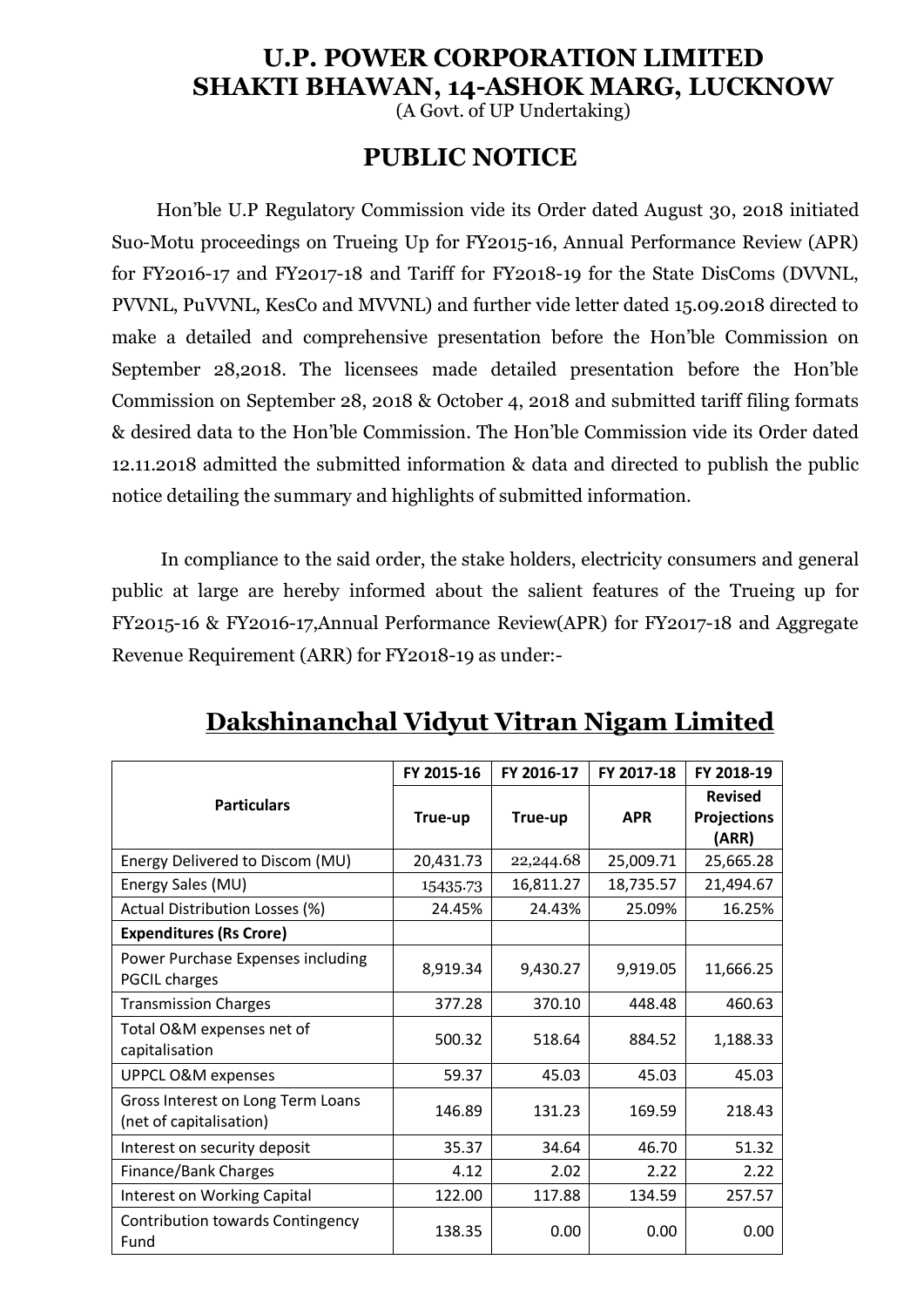#### **U.P. POWER CORPORATION LIMITED SHAKTI BHAWAN, 14-ASHOK MARG, LUCKNOW**

(A Govt. of UP Undertaking)

#### **PUBLIC NOTICE**

Hon'ble U.P Regulatory Commission vide its Order dated August 30, 2018 initiated Suo-Motu proceedings on Trueing Up for FY2015-16, Annual Performance Review (APR) for FY2016-17 and FY2017-18 and Tariff for FY2018-19 for the State DisComs (DVVNL, PVVNL, PuVVNL, KesCo and MVVNL) and further vide letter dated 15.09.2018 directed to make a detailed and comprehensive presentation before the Hon'ble Commission on September 28,2018. The licensees made detailed presentation before the Hon'ble Commission on September 28, 2018 & October 4, 2018 and submitted tariff filing formats & desired data to the Hon'ble Commission. The Hon'ble Commission vide its Order dated 12.11.2018 admitted the submitted information & data and directed to publish the public notice detailing the summary and highlights of submitted information.

In compliance to the said order, the stake holders, electricity consumers and general public at large are hereby informed about the salient features of the Trueing up for FY2015-16 & FY2016-17,Annual Performance Review(APR) for FY2017-18 and Aggregate Revenue Requirement (ARR) for FY2018-19 as under:-

|                                                              | FY 2015-16 | FY 2016-17 | FY 2017-18 | FY 2018-19                                    |
|--------------------------------------------------------------|------------|------------|------------|-----------------------------------------------|
| <b>Particulars</b>                                           | True-up    | True-up    | <b>APR</b> | <b>Revised</b><br><b>Projections</b><br>(ARR) |
| Energy Delivered to Discom (MU)                              | 20,431.73  | 22,244.68  | 25,009.71  | 25,665.28                                     |
| Energy Sales (MU)                                            | 15435.73   | 16,811.27  | 18,735.57  | 21,494.67                                     |
| Actual Distribution Losses (%)                               | 24.45%     | 24.43%     | 25.09%     | 16.25%                                        |
| <b>Expenditures (Rs Crore)</b>                               |            |            |            |                                               |
| Power Purchase Expenses including<br><b>PGCIL charges</b>    | 8,919.34   | 9,430.27   | 9,919.05   | 11,666.25                                     |
| <b>Transmission Charges</b>                                  | 377.28     | 370.10     | 448.48     | 460.63                                        |
| Total O&M expenses net of<br>capitalisation                  | 500.32     | 518.64     | 884.52     | 1,188.33                                      |
| <b>UPPCL O&amp;M expenses</b>                                | 59.37      | 45.03      | 45.03      | 45.03                                         |
| Gross Interest on Long Term Loans<br>(net of capitalisation) | 146.89     | 131.23     | 169.59     | 218.43                                        |
| Interest on security deposit                                 | 35.37      | 34.64      | 46.70      | 51.32                                         |
| Finance/Bank Charges                                         | 4.12       | 2.02       | 2.22       | 2.22                                          |
| Interest on Working Capital                                  | 122.00     | 117.88     | 134.59     | 257.57                                        |
| <b>Contribution towards Contingency</b><br>Fund              | 138.35     | 0.00       | 0.00       | 0.00                                          |

### **Dakshinanchal Vidyut Vitran Nigam Limited**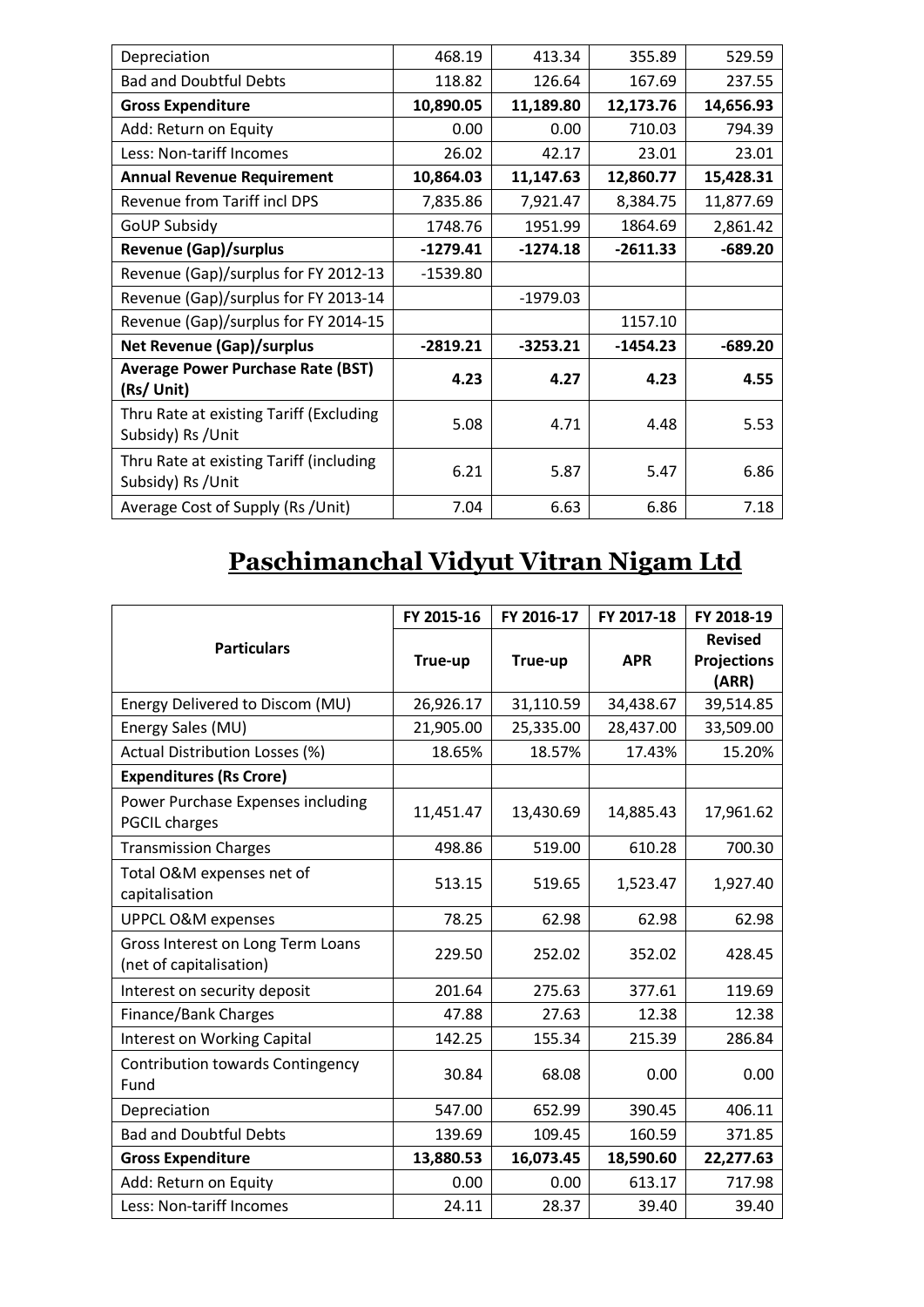| Depreciation                                                  | 468.19     | 413.34     | 355.89     | 529.59    |
|---------------------------------------------------------------|------------|------------|------------|-----------|
| <b>Bad and Doubtful Debts</b>                                 | 118.82     | 126.64     | 167.69     | 237.55    |
| <b>Gross Expenditure</b>                                      | 10,890.05  | 11,189.80  | 12,173.76  | 14,656.93 |
| Add: Return on Equity                                         | 0.00       | 0.00       | 710.03     | 794.39    |
| Less: Non-tariff Incomes                                      | 26.02      | 42.17      | 23.01      | 23.01     |
| <b>Annual Revenue Requirement</b>                             | 10,864.03  | 11,147.63  | 12,860.77  | 15,428.31 |
| Revenue from Tariff incl DPS                                  | 7,835.86   | 7,921.47   | 8,384.75   | 11,877.69 |
| <b>GoUP Subsidy</b>                                           | 1748.76    | 1951.99    | 1864.69    | 2,861.42  |
| <b>Revenue (Gap)/surplus</b>                                  | $-1279.41$ | $-1274.18$ | $-2611.33$ | $-689.20$ |
| Revenue (Gap)/surplus for FY 2012-13                          | $-1539.80$ |            |            |           |
| Revenue (Gap)/surplus for FY 2013-14                          |            | $-1979.03$ |            |           |
| Revenue (Gap)/surplus for FY 2014-15                          |            |            | 1157.10    |           |
| <b>Net Revenue (Gap)/surplus</b>                              | $-2819.21$ | $-3253.21$ | $-1454.23$ | $-689.20$ |
| <b>Average Power Purchase Rate (BST)</b><br>(Rs/ Unit)        | 4.23       | 4.27       | 4.23       | 4.55      |
| Thru Rate at existing Tariff (Excluding<br>Subsidy) Rs / Unit | 5.08       | 4.71       | 4.48       | 5.53      |
| Thru Rate at existing Tariff (including<br>Subsidy) Rs / Unit | 6.21       | 5.87       | 5.47       | 6.86      |
| Average Cost of Supply (Rs /Unit)                             | 7.04       | 6.63       | 6.86       | 7.18      |

## **Paschimanchal Vidyut Vitran Nigam Ltd**

|                                                              | FY 2015-16 | FY 2016-17 | FY 2017-18 | FY 2018-19                  |
|--------------------------------------------------------------|------------|------------|------------|-----------------------------|
| <b>Particulars</b>                                           |            |            |            | <b>Revised</b>              |
|                                                              | True-up    | True-up    | <b>APR</b> | <b>Projections</b><br>(ARR) |
| Energy Delivered to Discom (MU)                              | 26,926.17  | 31,110.59  | 34,438.67  | 39,514.85                   |
| Energy Sales (MU)                                            | 21,905.00  | 25,335.00  | 28,437.00  | 33,509.00                   |
| Actual Distribution Losses (%)                               | 18.65%     | 18.57%     | 17.43%     | 15.20%                      |
| <b>Expenditures (Rs Crore)</b>                               |            |            |            |                             |
| Power Purchase Expenses including<br><b>PGCIL charges</b>    | 11,451.47  | 13,430.69  | 14,885.43  | 17,961.62                   |
| <b>Transmission Charges</b>                                  | 498.86     | 519.00     | 610.28     | 700.30                      |
| Total O&M expenses net of<br>capitalisation                  | 513.15     | 519.65     | 1,523.47   | 1,927.40                    |
| <b>UPPCL O&amp;M expenses</b>                                | 78.25      | 62.98      | 62.98      | 62.98                       |
| Gross Interest on Long Term Loans<br>(net of capitalisation) | 229.50     | 252.02     | 352.02     | 428.45                      |
| Interest on security deposit                                 | 201.64     | 275.63     | 377.61     | 119.69                      |
| Finance/Bank Charges                                         | 47.88      | 27.63      | 12.38      | 12.38                       |
| <b>Interest on Working Capital</b>                           | 142.25     | 155.34     | 215.39     | 286.84                      |
| <b>Contribution towards Contingency</b><br>Fund              | 30.84      | 68.08      | 0.00       | 0.00                        |
| Depreciation                                                 | 547.00     | 652.99     | 390.45     | 406.11                      |
| <b>Bad and Doubtful Debts</b>                                | 139.69     | 109.45     | 160.59     | 371.85                      |
| <b>Gross Expenditure</b>                                     | 13,880.53  | 16,073.45  | 18,590.60  | 22,277.63                   |
| Add: Return on Equity                                        | 0.00       | 0.00       | 613.17     | 717.98                      |
| Less: Non-tariff Incomes                                     | 24.11      | 28.37      | 39.40      | 39.40                       |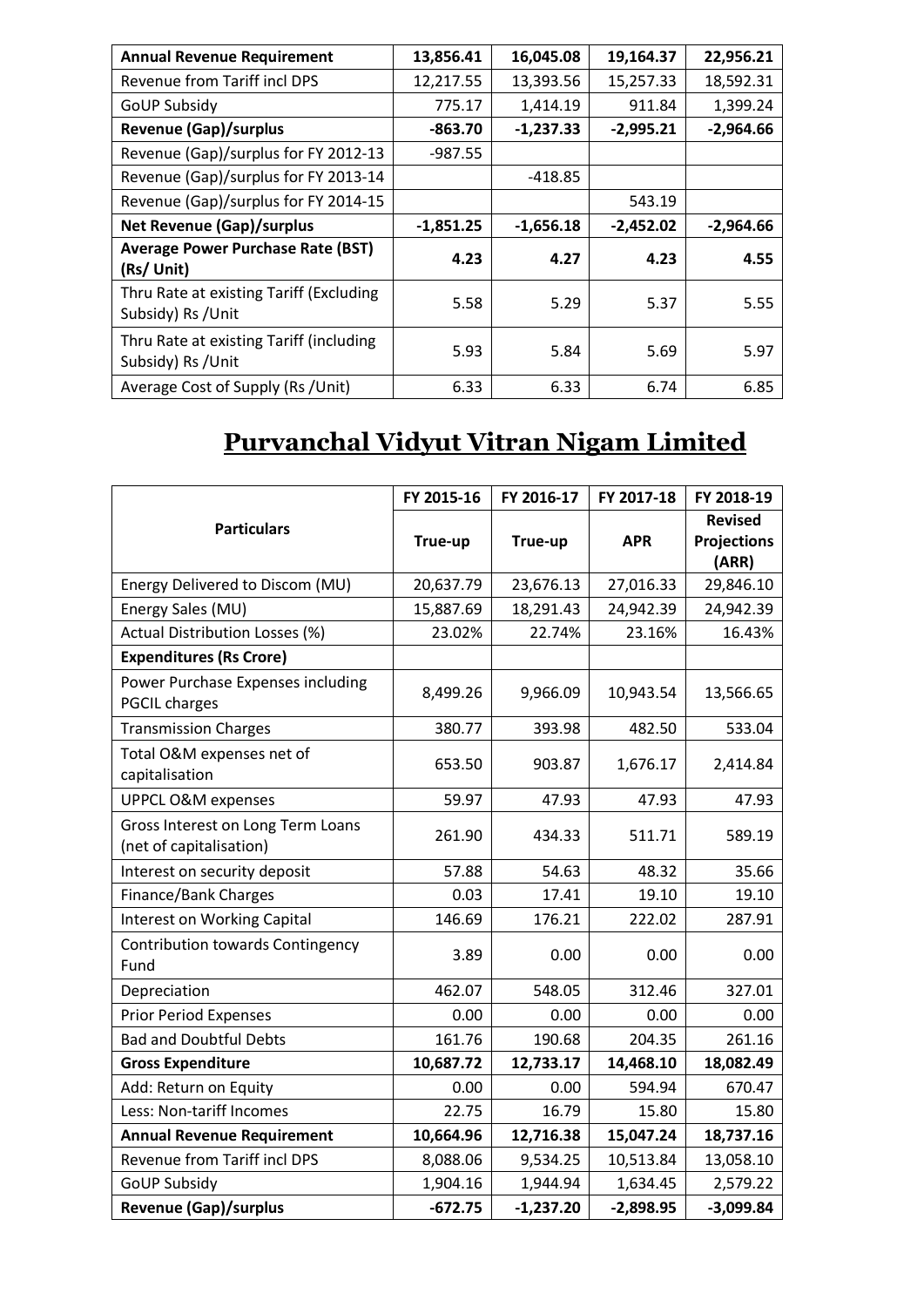| <b>Annual Revenue Requirement</b>                             | 13,856.41   | 16,045.08   | 19,164.37   | 22,956.21   |
|---------------------------------------------------------------|-------------|-------------|-------------|-------------|
| Revenue from Tariff incl DPS                                  | 12,217.55   | 13,393.56   | 15,257.33   | 18,592.31   |
| <b>GoUP Subsidy</b>                                           | 775.17      | 1,414.19    | 911.84      | 1,399.24    |
| <b>Revenue (Gap)/surplus</b>                                  | $-863.70$   | $-1,237.33$ | $-2,995.21$ | $-2,964.66$ |
| Revenue (Gap)/surplus for FY 2012-13                          | $-987.55$   |             |             |             |
| Revenue (Gap)/surplus for FY 2013-14                          |             | -418.85     |             |             |
| Revenue (Gap)/surplus for FY 2014-15                          |             |             | 543.19      |             |
| <b>Net Revenue (Gap)/surplus</b>                              | $-1,851.25$ | $-1,656.18$ | $-2,452.02$ | $-2,964.66$ |
| <b>Average Power Purchase Rate (BST)</b><br>(Rs/ Unit)        | 4.23        | 4.27        | 4.23        | 4.55        |
| Thru Rate at existing Tariff (Excluding<br>Subsidy) Rs / Unit | 5.58        | 5.29        | 5.37        | 5.55        |
| Thru Rate at existing Tariff (including<br>Subsidy) Rs / Unit | 5.93        | 5.84        | 5.69        | 5.97        |
| Average Cost of Supply (Rs /Unit)                             | 6.33        | 6.33        | 6.74        | 6.85        |

# **Purvanchal Vidyut Vitran Nigam Limited**

|                                                              | FY 2015-16 | FY 2016-17  | FY 2017-18  | FY 2018-19                                    |
|--------------------------------------------------------------|------------|-------------|-------------|-----------------------------------------------|
| <b>Particulars</b>                                           | True-up    | True-up     | <b>APR</b>  | <b>Revised</b><br><b>Projections</b><br>(ARR) |
| Energy Delivered to Discom (MU)                              | 20,637.79  | 23,676.13   | 27,016.33   | 29,846.10                                     |
| Energy Sales (MU)                                            | 15,887.69  | 18,291.43   | 24,942.39   | 24,942.39                                     |
| Actual Distribution Losses (%)                               | 23.02%     | 22.74%      | 23.16%      | 16.43%                                        |
| <b>Expenditures (Rs Crore)</b>                               |            |             |             |                                               |
| Power Purchase Expenses including<br><b>PGCIL charges</b>    | 8,499.26   | 9,966.09    | 10,943.54   | 13,566.65                                     |
| <b>Transmission Charges</b>                                  | 380.77     | 393.98      | 482.50      | 533.04                                        |
| Total O&M expenses net of<br>capitalisation                  | 653.50     | 903.87      | 1,676.17    | 2,414.84                                      |
| UPPCL O&M expenses                                           | 59.97      | 47.93       | 47.93       | 47.93                                         |
| Gross Interest on Long Term Loans<br>(net of capitalisation) | 261.90     | 434.33      | 511.71      | 589.19                                        |
| Interest on security deposit                                 | 57.88      | 54.63       | 48.32       | 35.66                                         |
| Finance/Bank Charges                                         | 0.03       | 17.41       | 19.10       | 19.10                                         |
| Interest on Working Capital                                  | 146.69     | 176.21      | 222.02      | 287.91                                        |
| <b>Contribution towards Contingency</b><br>Fund              | 3.89       | 0.00        | 0.00        | 0.00                                          |
| Depreciation                                                 | 462.07     | 548.05      | 312.46      | 327.01                                        |
| <b>Prior Period Expenses</b>                                 | 0.00       | 0.00        | 0.00        | 0.00                                          |
| <b>Bad and Doubtful Debts</b>                                | 161.76     | 190.68      | 204.35      | 261.16                                        |
| <b>Gross Expenditure</b>                                     | 10,687.72  | 12,733.17   | 14,468.10   | 18,082.49                                     |
| Add: Return on Equity                                        | 0.00       | 0.00        | 594.94      | 670.47                                        |
| Less: Non-tariff Incomes                                     | 22.75      | 16.79       | 15.80       | 15.80                                         |
| <b>Annual Revenue Requirement</b>                            | 10,664.96  | 12,716.38   | 15,047.24   | 18,737.16                                     |
| Revenue from Tariff incl DPS                                 | 8,088.06   | 9,534.25    | 10,513.84   | 13,058.10                                     |
| <b>GoUP Subsidy</b>                                          | 1,904.16   | 1,944.94    | 1,634.45    | 2,579.22                                      |
| <b>Revenue (Gap)/surplus</b>                                 | $-672.75$  | $-1,237.20$ | $-2,898.95$ | $-3,099.84$                                   |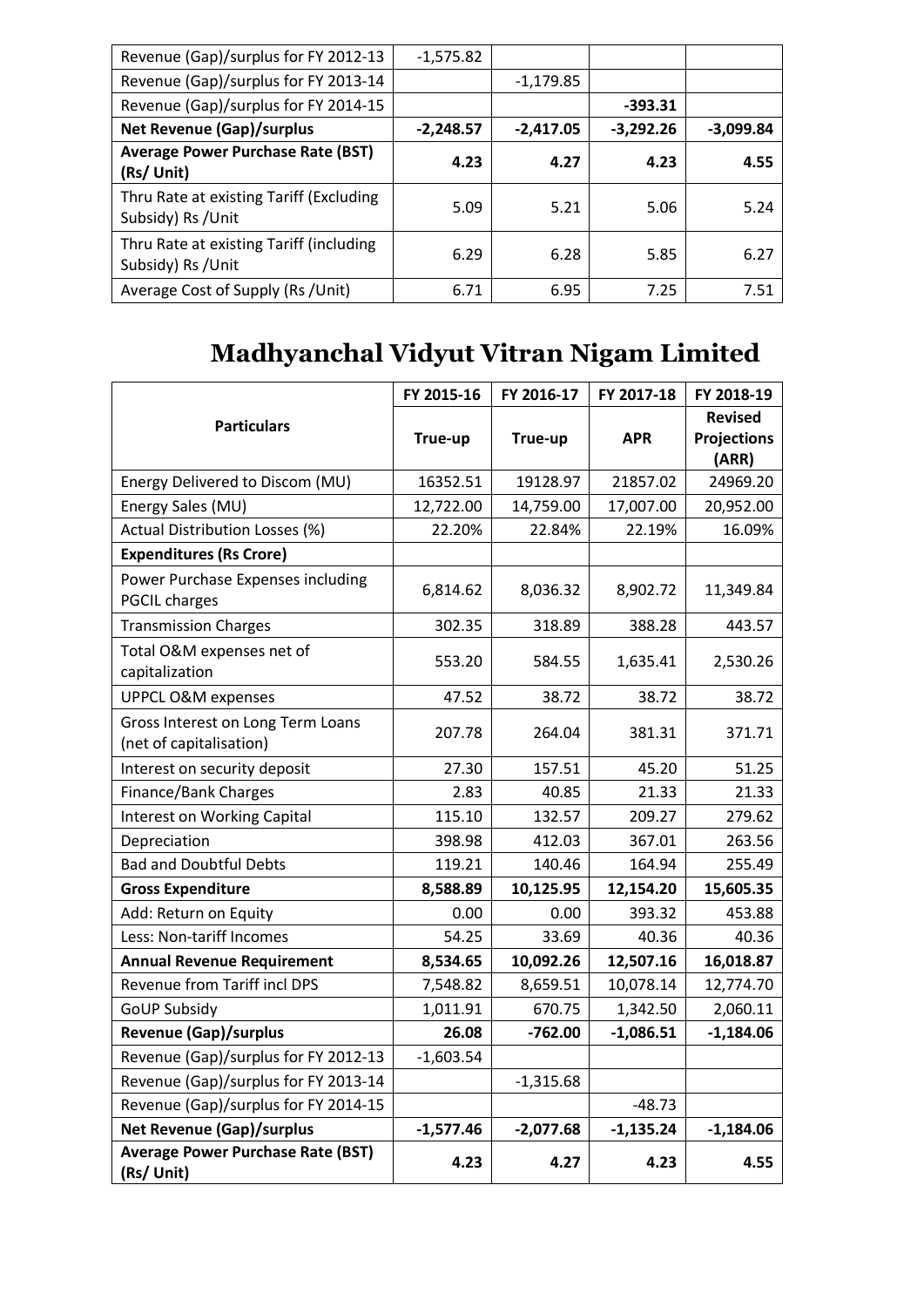| Revenue (Gap)/surplus for FY 2012-13                          | $-1,575.82$ |             |             |             |
|---------------------------------------------------------------|-------------|-------------|-------------|-------------|
| Revenue (Gap)/surplus for FY 2013-14                          |             | $-1,179.85$ |             |             |
| Revenue (Gap)/surplus for FY 2014-15                          |             |             | $-393.31$   |             |
| <b>Net Revenue (Gap)/surplus</b>                              | $-2,248.57$ | $-2,417.05$ | $-3,292.26$ | $-3,099.84$ |
| <b>Average Power Purchase Rate (BST)</b><br>(Rs/ Unit)        | 4.23        | 4.27        | 4.23        | 4.55        |
| Thru Rate at existing Tariff (Excluding<br>Subsidy) Rs / Unit | 5.09        | 5.21        | 5.06        | 5.24        |
| Thru Rate at existing Tariff (including<br>Subsidy) Rs / Unit | 6.29        | 6.28        | 5.85        | 6.27        |
| Average Cost of Supply (Rs /Unit)                             | 6.71        | 6.95        | 7.25        | 7.51        |

## **Madhyanchal Vidyut Vitran Nigam Limited**

|                                                              | FY 2015-16  | FY 2016-17  | FY 2017-18  | FY 2018-19                                    |
|--------------------------------------------------------------|-------------|-------------|-------------|-----------------------------------------------|
| <b>Particulars</b>                                           | True-up     | True-up     | <b>APR</b>  | <b>Revised</b><br><b>Projections</b><br>(ARR) |
| Energy Delivered to Discom (MU)                              | 16352.51    | 19128.97    | 21857.02    | 24969.20                                      |
| Energy Sales (MU)                                            | 12,722.00   | 14,759.00   | 17,007.00   | 20,952.00                                     |
| Actual Distribution Losses (%)                               | 22.20%      | 22.84%      | 22.19%      | 16.09%                                        |
| <b>Expenditures (Rs Crore)</b>                               |             |             |             |                                               |
| Power Purchase Expenses including<br><b>PGCIL charges</b>    | 6,814.62    | 8,036.32    | 8,902.72    | 11,349.84                                     |
| <b>Transmission Charges</b>                                  | 302.35      | 318.89      | 388.28      | 443.57                                        |
| Total O&M expenses net of<br>capitalization                  | 553.20      | 584.55      | 1,635.41    | 2,530.26                                      |
| UPPCL O&M expenses                                           | 47.52       | 38.72       | 38.72       | 38.72                                         |
| Gross Interest on Long Term Loans<br>(net of capitalisation) | 207.78      | 264.04      | 381.31      | 371.71                                        |
| Interest on security deposit                                 | 27.30       | 157.51      | 45.20       | 51.25                                         |
| Finance/Bank Charges                                         | 2.83        | 40.85       | 21.33       | 21.33                                         |
| <b>Interest on Working Capital</b>                           | 115.10      | 132.57      | 209.27      | 279.62                                        |
| Depreciation                                                 | 398.98      | 412.03      | 367.01      | 263.56                                        |
| <b>Bad and Doubtful Debts</b>                                | 119.21      | 140.46      | 164.94      | 255.49                                        |
| <b>Gross Expenditure</b>                                     | 8,588.89    | 10,125.95   | 12,154.20   | 15,605.35                                     |
| Add: Return on Equity                                        | 0.00        | 0.00        | 393.32      | 453.88                                        |
| Less: Non-tariff Incomes                                     | 54.25       | 33.69       | 40.36       | 40.36                                         |
| <b>Annual Revenue Requirement</b>                            | 8,534.65    | 10,092.26   | 12,507.16   | 16,018.87                                     |
| Revenue from Tariff incl DPS                                 | 7,548.82    | 8,659.51    | 10,078.14   | 12,774.70                                     |
| <b>GoUP Subsidy</b>                                          | 1,011.91    | 670.75      | 1,342.50    | 2,060.11                                      |
| <b>Revenue (Gap)/surplus</b>                                 | 26.08       | $-762.00$   | $-1,086.51$ | $-1,184.06$                                   |
| Revenue (Gap)/surplus for FY 2012-13                         | $-1,603.54$ |             |             |                                               |
| Revenue (Gap)/surplus for FY 2013-14                         |             | $-1,315.68$ |             |                                               |
| Revenue (Gap)/surplus for FY 2014-15                         |             |             | $-48.73$    |                                               |
| <b>Net Revenue (Gap)/surplus</b>                             | $-1,577.46$ | $-2,077.68$ | $-1,135.24$ | $-1,184.06$                                   |
| <b>Average Power Purchase Rate (BST)</b><br>(Rs/ Unit)       | 4.23        | 4.27        | 4.23        | 4.55                                          |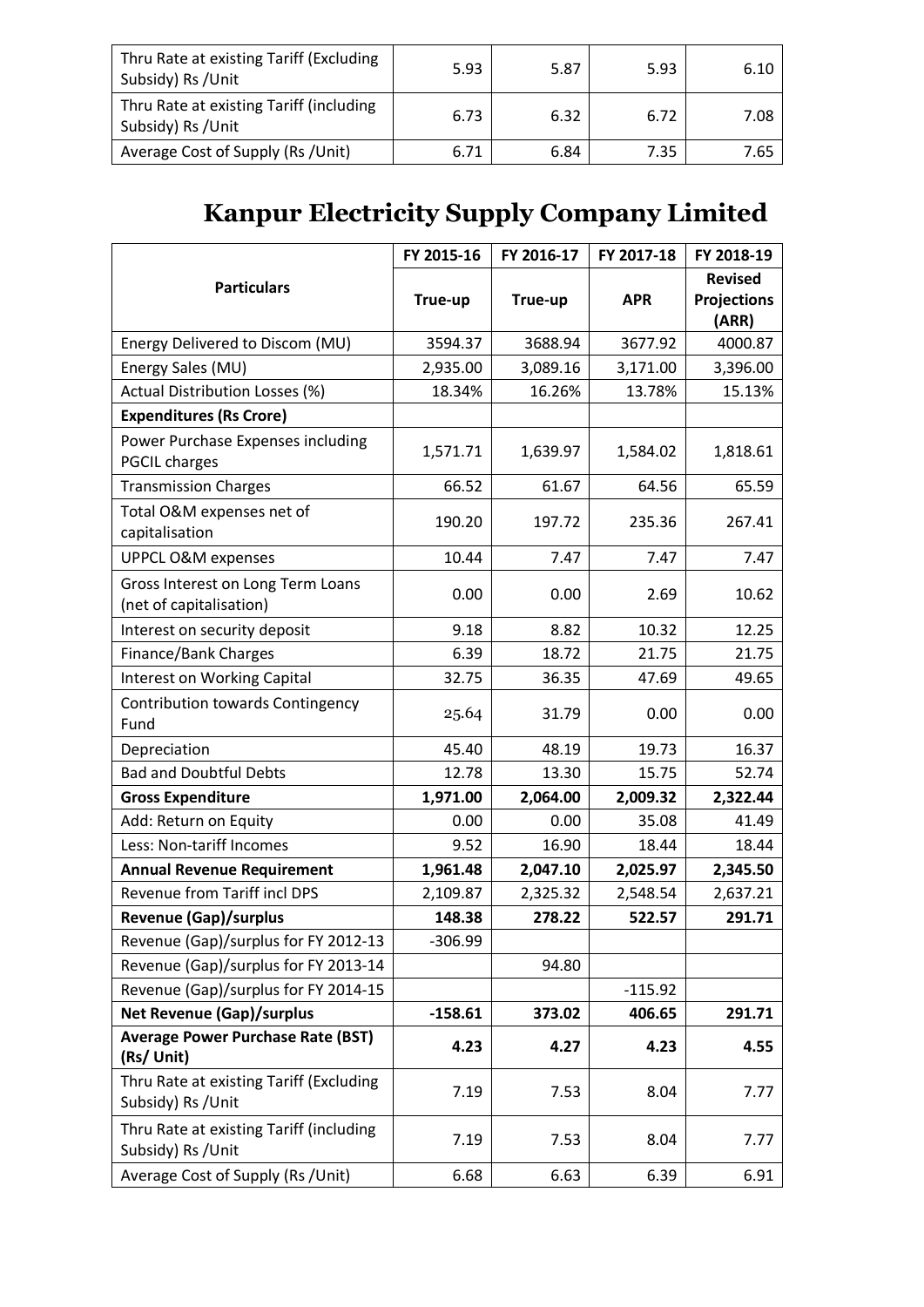| Thru Rate at existing Tariff (Excluding<br>Subsidy) Rs / Unit | 5.93 | 5.87 | 5.93 | 6.10 |
|---------------------------------------------------------------|------|------|------|------|
| Thru Rate at existing Tariff (including<br>Subsidy) Rs / Unit | 6.73 | 6.32 | 6.72 | 7.08 |
| Average Cost of Supply (Rs /Unit)                             | 6.71 | 6.84 | 7.35 | 7.65 |

# **Kanpur Electricity Supply Company Limited**

|                                                               | FY 2015-16 | FY 2016-17 | FY 2017-18 | FY 2018-19                                    |
|---------------------------------------------------------------|------------|------------|------------|-----------------------------------------------|
| <b>Particulars</b>                                            | True-up    | True-up    | <b>APR</b> | <b>Revised</b><br><b>Projections</b><br>(ARR) |
| Energy Delivered to Discom (MU)                               | 3594.37    | 3688.94    | 3677.92    | 4000.87                                       |
| Energy Sales (MU)                                             | 2,935.00   | 3,089.16   | 3,171.00   | 3,396.00                                      |
| Actual Distribution Losses (%)                                | 18.34%     | 16.26%     | 13.78%     | 15.13%                                        |
| <b>Expenditures (Rs Crore)</b>                                |            |            |            |                                               |
| Power Purchase Expenses including<br><b>PGCIL charges</b>     | 1,571.71   | 1,639.97   | 1,584.02   | 1,818.61                                      |
| <b>Transmission Charges</b>                                   | 66.52      | 61.67      | 64.56      | 65.59                                         |
| Total O&M expenses net of<br>capitalisation                   | 190.20     | 197.72     | 235.36     | 267.41                                        |
| <b>UPPCL O&amp;M expenses</b>                                 | 10.44      | 7.47       | 7.47       | 7.47                                          |
| Gross Interest on Long Term Loans<br>(net of capitalisation)  | 0.00       | 0.00       | 2.69       | 10.62                                         |
| Interest on security deposit                                  | 9.18       | 8.82       | 10.32      | 12.25                                         |
| <b>Finance/Bank Charges</b>                                   | 6.39       | 18.72      | 21.75      | 21.75                                         |
| <b>Interest on Working Capital</b>                            | 32.75      | 36.35      | 47.69      | 49.65                                         |
| <b>Contribution towards Contingency</b><br>Fund               | 25.64      | 31.79      | 0.00       | 0.00                                          |
| Depreciation                                                  | 45.40      | 48.19      | 19.73      | 16.37                                         |
| <b>Bad and Doubtful Debts</b>                                 | 12.78      | 13.30      | 15.75      | 52.74                                         |
| <b>Gross Expenditure</b>                                      | 1,971.00   | 2,064.00   | 2,009.32   | 2,322.44                                      |
| Add: Return on Equity                                         | 0.00       | 0.00       | 35.08      | 41.49                                         |
| Less: Non-tariff Incomes                                      | 9.52       | 16.90      | 18.44      | 18.44                                         |
| <b>Annual Revenue Requirement</b>                             | 1,961.48   | 2,047.10   | 2,025.97   | 2,345.50                                      |
| Revenue from Tariff incl DPS                                  | 2,109.87   | 2,325.32   | 2,548.54   | 2,637.21                                      |
| <b>Revenue (Gap)/surplus</b>                                  | 148.38     | 278.22     | 522.57     | 291.71                                        |
| Revenue (Gap)/surplus for FY 2012-13                          | $-306.99$  |            |            |                                               |
| Revenue (Gap)/surplus for FY 2013-14                          |            | 94.80      |            |                                               |
| Revenue (Gap)/surplus for FY 2014-15                          |            |            | $-115.92$  |                                               |
| <b>Net Revenue (Gap)/surplus</b>                              | $-158.61$  | 373.02     | 406.65     | 291.71                                        |
| <b>Average Power Purchase Rate (BST)</b><br>(Rs/ Unit)        | 4.23       | 4.27       | 4.23       | 4.55                                          |
| Thru Rate at existing Tariff (Excluding<br>Subsidy) Rs / Unit | 7.19       | 7.53       | 8.04       | 7.77                                          |
| Thru Rate at existing Tariff (including<br>Subsidy) Rs / Unit | 7.19       | 7.53       | 8.04       | 7.77                                          |
| Average Cost of Supply (Rs /Unit)                             | 6.68       | 6.63       | 6.39       | 6.91                                          |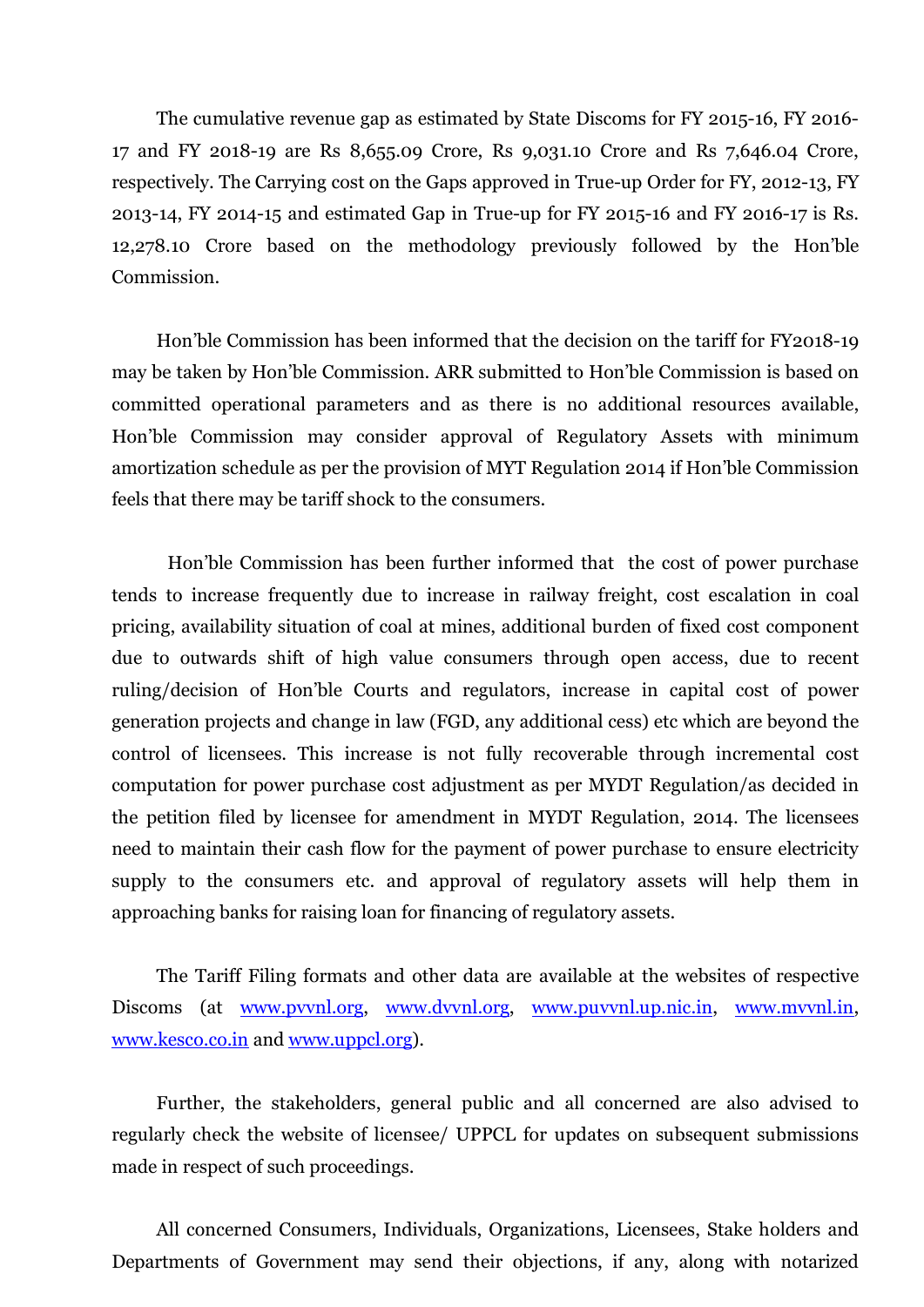The cumulative revenue gap as estimated by State Discoms for FY 2015-16, FY 2016- 17 and FY 2018-19 are Rs 8,655.09 Crore, Rs 9,031.10 Crore and Rs 7,646.04 Crore, respectively. The Carrying cost on the Gaps approved in True-up Order for FY, 2012-13, FY 2013-14, FY 2014-15 and estimated Gap in True-up for FY 2015-16 and FY 2016-17 is Rs. 12,278.10 Crore based on the methodology previously followed by the Hon'ble Commission.

Hon'ble Commission has been informed that the decision on the tariff for FY2018-19 may be taken by Hon'ble Commission. ARR submitted to Hon'ble Commission is based on committed operational parameters and as there is no additional resources available, Hon'ble Commission may consider approval of Regulatory Assets with minimum amortization schedule as per the provision of MYT Regulation 2014 if Hon'ble Commission feels that there may be tariff shock to the consumers.

Hon'ble Commission has been further informed that the cost of power purchase tends to increase frequently due to increase in railway freight, cost escalation in coal pricing, availability situation of coal at mines, additional burden of fixed cost component due to outwards shift of high value consumers through open access, due to recent ruling/decision of Hon'ble Courts and regulators, increase in capital cost of power generation projects and change in law (FGD, any additional cess) etc which are beyond the control of licensees. This increase is not fully recoverable through incremental cost computation for power purchase cost adjustment as per MYDT Regulation/as decided in the petition filed by licensee for amendment in MYDT Regulation, 2014. The licensees need to maintain their cash flow for the payment of power purchase to ensure electricity supply to the consumers etc. and approval of regulatory assets will help them in approaching banks for raising loan for financing of regulatory assets.

The Tariff Filing formats and other data are available at the websites of respective Discoms (at www.pvvnl.org, www.dvvnl.org, www.puvvnl.up.nic.in, www.mvvnl.in, www.kesco.co.in and www.uppcl.org).

Further, the stakeholders, general public and all concerned are also advised to regularly check the website of licensee/ UPPCL for updates on subsequent submissions made in respect of such proceedings.

All concerned Consumers, Individuals, Organizations, Licensees, Stake holders and Departments of Government may send their objections, if any, along with notarized